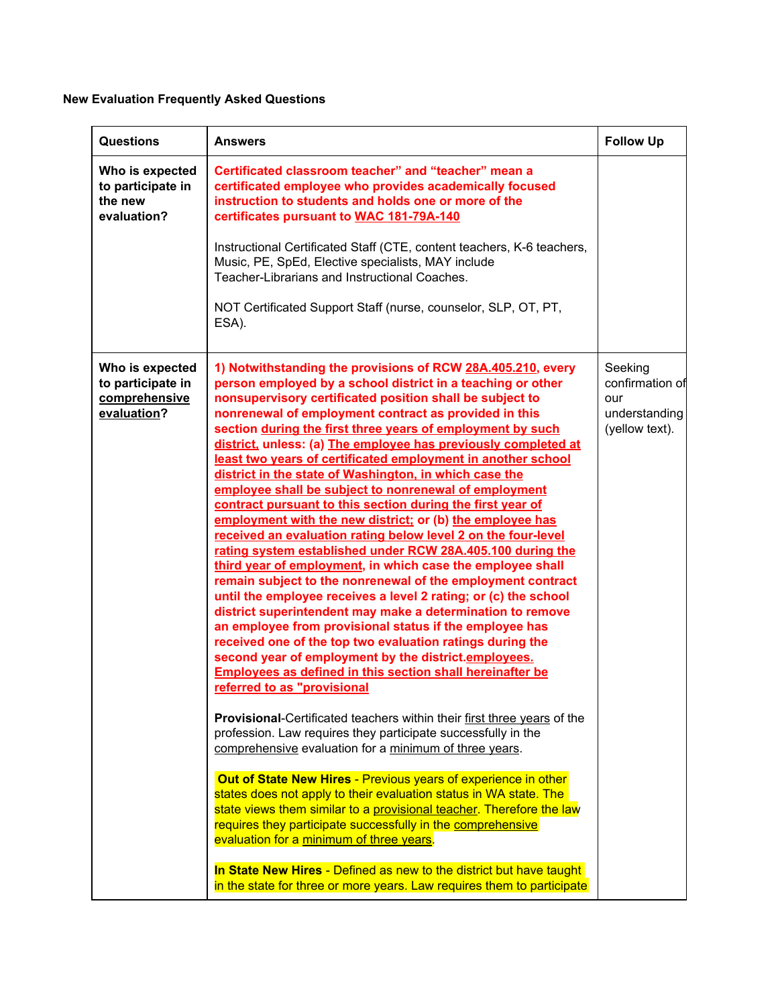## **New Evaluation Frequently Asked Questions**

| <b>Questions</b>                                                     | <b>Answers</b>                                                                                                                                                                                                                                                                                                                                                                                                                                                                                                                                                                                                                                                                                                                                                                                                                                                                                                                                                                                                                                                                                                                                                                                                                                                                                                                                                                                                                                                                                                                                                                                                                                                                                                                                                                                                                                                                                                                                                                                                                                                 | <b>Follow Up</b>                                                     |
|----------------------------------------------------------------------|----------------------------------------------------------------------------------------------------------------------------------------------------------------------------------------------------------------------------------------------------------------------------------------------------------------------------------------------------------------------------------------------------------------------------------------------------------------------------------------------------------------------------------------------------------------------------------------------------------------------------------------------------------------------------------------------------------------------------------------------------------------------------------------------------------------------------------------------------------------------------------------------------------------------------------------------------------------------------------------------------------------------------------------------------------------------------------------------------------------------------------------------------------------------------------------------------------------------------------------------------------------------------------------------------------------------------------------------------------------------------------------------------------------------------------------------------------------------------------------------------------------------------------------------------------------------------------------------------------------------------------------------------------------------------------------------------------------------------------------------------------------------------------------------------------------------------------------------------------------------------------------------------------------------------------------------------------------------------------------------------------------------------------------------------------------|----------------------------------------------------------------------|
| Who is expected<br>to participate in<br>the new<br>evaluation?       | Certificated classroom teacher" and "teacher" mean a<br>certificated employee who provides academically focused<br>instruction to students and holds one or more of the<br>certificates pursuant to WAC 181-79A-140<br>Instructional Certificated Staff (CTE, content teachers, K-6 teachers,<br>Music, PE, SpEd, Elective specialists, MAY include<br>Teacher-Librarians and Instructional Coaches.<br>NOT Certificated Support Staff (nurse, counselor, SLP, OT, PT,<br>ESA).                                                                                                                                                                                                                                                                                                                                                                                                                                                                                                                                                                                                                                                                                                                                                                                                                                                                                                                                                                                                                                                                                                                                                                                                                                                                                                                                                                                                                                                                                                                                                                                |                                                                      |
| Who is expected<br>to participate in<br>comprehensive<br>evaluation? | 1) Notwithstanding the provisions of RCW 28A.405.210, every<br>person employed by a school district in a teaching or other<br>nonsupervisory certificated position shall be subject to<br>nonrenewal of employment contract as provided in this<br>section during the first three years of employment by such<br>district, unless: (a) The employee has previously completed at<br>least two years of certificated employment in another school<br>district in the state of Washington, in which case the<br>employee shall be subject to nonrenewal of employment<br>contract pursuant to this section during the first year of<br>employment with the new district; or (b) the employee has<br>received an evaluation rating below level 2 on the four-level<br>rating system established under RCW 28A.405.100 during the<br>third year of employment, in which case the employee shall<br>remain subject to the nonrenewal of the employment contract<br>until the employee receives a level 2 rating; or (c) the school<br>district superintendent may make a determination to remove<br>an employee from provisional status if the employee has<br>received one of the top two evaluation ratings during the<br>second year of employment by the district.employees.<br><b>Employees as defined in this section shall hereinafter be</b><br>referred to as "provisional<br>Provisional-Certificated teachers within their first three years of the<br>profession. Law requires they participate successfully in the<br>comprehensive evaluation for a minimum of three years.<br>Out of State New Hires - Previous years of experience in other<br>states does not apply to their evaluation status in WA state. The<br>state views them similar to a provisional teacher. Therefore the law<br>requires they participate successfully in the comprehensive<br>evaluation for a minimum of three years.<br>In State New Hires - Defined as new to the district but have taught<br>in the state for three or more years. Law requires them to participate | Seeking<br>confirmation of<br>our<br>understanding<br>(yellow text). |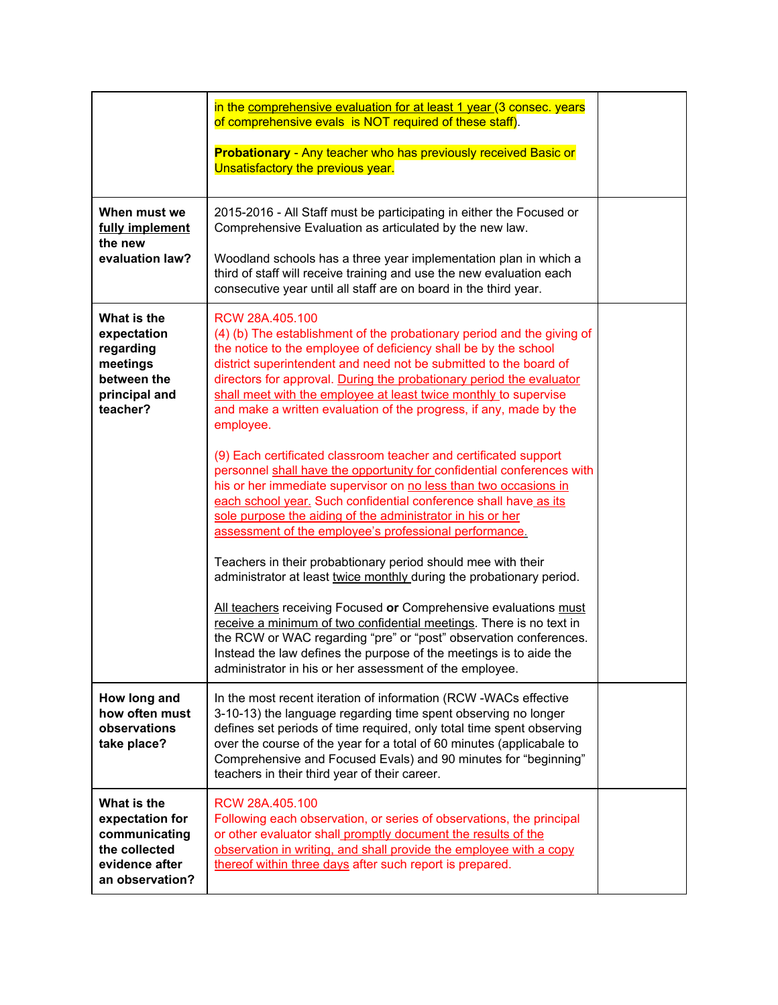|                                                                                                       | in the comprehensive evaluation for at least 1 year (3 consec. years<br>of comprehensive evals is NOT required of these staff).                                                                                                                                                                                                                                                                                                                                  |  |
|-------------------------------------------------------------------------------------------------------|------------------------------------------------------------------------------------------------------------------------------------------------------------------------------------------------------------------------------------------------------------------------------------------------------------------------------------------------------------------------------------------------------------------------------------------------------------------|--|
|                                                                                                       | <b>Probationary</b> - Any teacher who has previously received Basic or<br>Unsatisfactory the previous year.                                                                                                                                                                                                                                                                                                                                                      |  |
| When must we<br>fully implement<br>the new<br>evaluation law?                                         | 2015-2016 - All Staff must be participating in either the Focused or<br>Comprehensive Evaluation as articulated by the new law.                                                                                                                                                                                                                                                                                                                                  |  |
|                                                                                                       | Woodland schools has a three year implementation plan in which a<br>third of staff will receive training and use the new evaluation each<br>consecutive year until all staff are on board in the third year.                                                                                                                                                                                                                                                     |  |
| What is the<br>expectation<br>regarding<br>meetings<br>between the<br>principal and<br>teacher?       | RCW 28A.405.100<br>(4) (b) The establishment of the probationary period and the giving of<br>the notice to the employee of deficiency shall be by the school<br>district superintendent and need not be submitted to the board of<br>directors for approval. During the probationary period the evaluator<br>shall meet with the employee at least twice monthly to supervise<br>and make a written evaluation of the progress, if any, made by the<br>employee. |  |
|                                                                                                       | (9) Each certificated classroom teacher and certificated support<br>personnel shall have the opportunity for confidential conferences with<br>his or her immediate supervisor on no less than two occasions in<br>each school year. Such confidential conference shall have as its<br>sole purpose the aiding of the administrator in his or her<br>assessment of the employee's professional performance.                                                       |  |
|                                                                                                       | Teachers in their probabtionary period should mee with their<br>administrator at least twice monthly during the probationary period.                                                                                                                                                                                                                                                                                                                             |  |
|                                                                                                       | All teachers receiving Focused or Comprehensive evaluations must<br>receive a minimum of two confidential meetings. There is no text in<br>the RCW or WAC regarding "pre" or "post" observation conferences.<br>Instead the law defines the purpose of the meetings is to aide the<br>administrator in his or her assessment of the employee.                                                                                                                    |  |
| How long and<br>how often must<br>observations<br>take place?                                         | In the most recent iteration of information (RCW-WACs effective<br>3-10-13) the language regarding time spent observing no longer<br>defines set periods of time required, only total time spent observing<br>over the course of the year for a total of 60 minutes (applicabale to<br>Comprehensive and Focused Evals) and 90 minutes for "beginning"<br>teachers in their third year of their career.                                                          |  |
| What is the<br>expectation for<br>communicating<br>the collected<br>evidence after<br>an observation? | RCW 28A.405.100<br>Following each observation, or series of observations, the principal<br>or other evaluator shall promptly document the results of the<br>observation in writing, and shall provide the employee with a copy<br>thereof within three days after such report is prepared.                                                                                                                                                                       |  |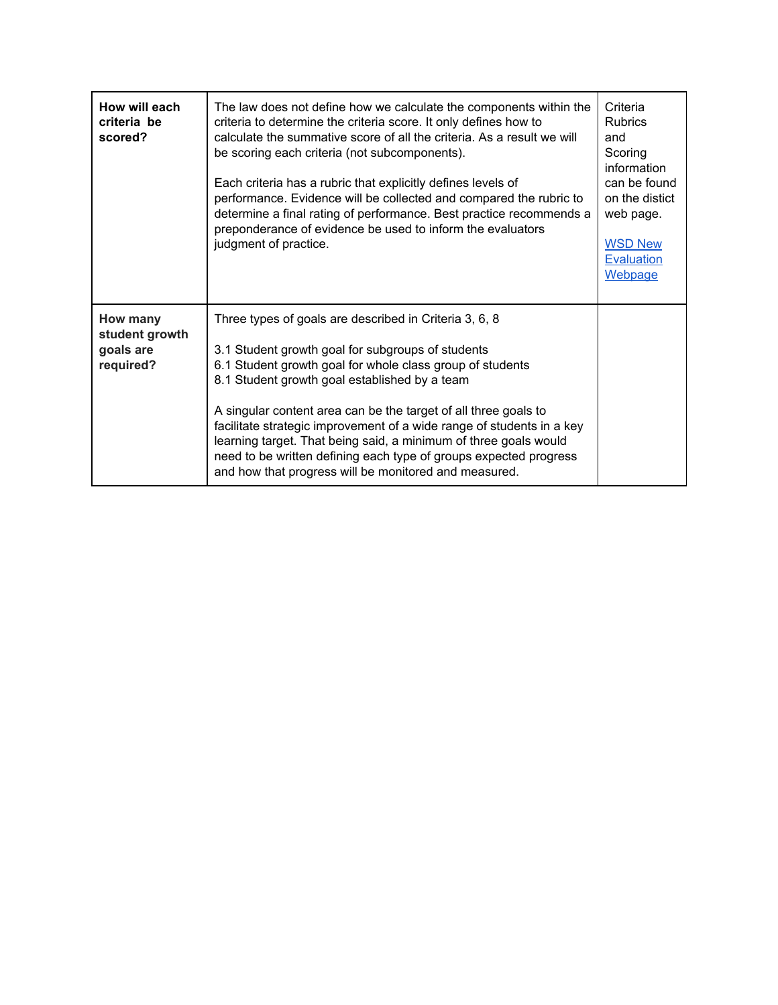| How will each<br>criteria be<br>scored?              | The law does not define how we calculate the components within the<br>criteria to determine the criteria score. It only defines how to<br>calculate the summative score of all the criteria. As a result we will<br>be scoring each criteria (not subcomponents).<br>Each criteria has a rubric that explicitly defines levels of<br>performance. Evidence will be collected and compared the rubric to<br>determine a final rating of performance. Best practice recommends a<br>preponderance of evidence be used to inform the evaluators<br>judgment of practice.   | Criteria<br><b>Rubrics</b><br>and<br>Scoring<br>information<br>can be found<br>on the distict<br>web page.<br><b>WSD New</b><br><b>Evaluation</b><br>Webpage |
|------------------------------------------------------|-------------------------------------------------------------------------------------------------------------------------------------------------------------------------------------------------------------------------------------------------------------------------------------------------------------------------------------------------------------------------------------------------------------------------------------------------------------------------------------------------------------------------------------------------------------------------|--------------------------------------------------------------------------------------------------------------------------------------------------------------|
| How many<br>student growth<br>goals are<br>required? | Three types of goals are described in Criteria 3, 6, 8<br>3.1 Student growth goal for subgroups of students<br>6.1 Student growth goal for whole class group of students<br>8.1 Student growth goal established by a team<br>A singular content area can be the target of all three goals to<br>facilitate strategic improvement of a wide range of students in a key<br>learning target. That being said, a minimum of three goals would<br>need to be written defining each type of groups expected progress<br>and how that progress will be monitored and measured. |                                                                                                                                                              |